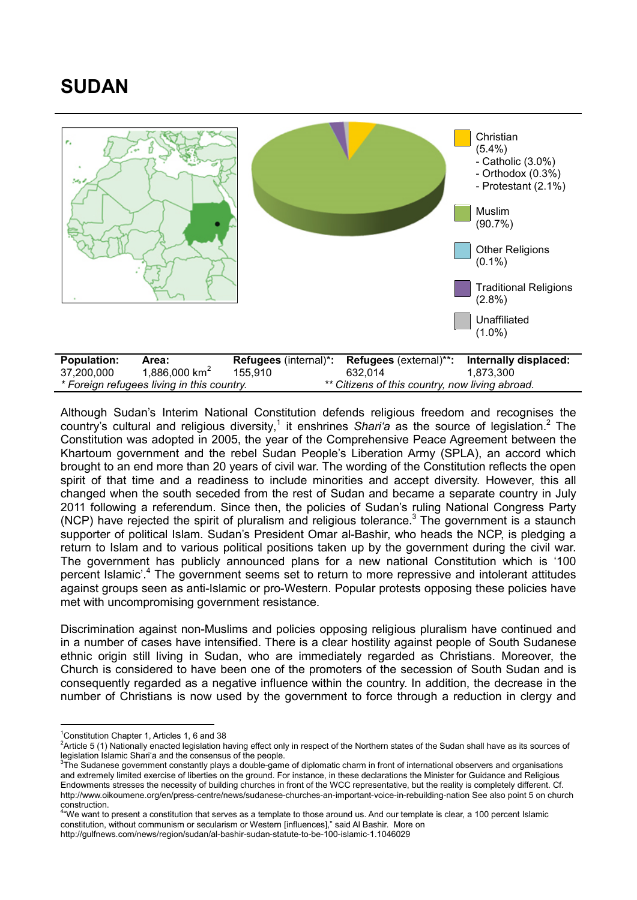# SUDAN



Although Sudan's Interim National Constitution defends religious freedom and recognises the country's cultural and religious diversity,<sup>1</sup> it enshrines Shari'a as the source of legislation.<sup>2</sup> The Constitution was adopted in 2005, the year of the Comprehensive Peace Agreement between the Khartoum government and the rebel Sudan People's Liberation Army (SPLA), an accord which brought to an end more than 20 years of civil war. The wording of the Constitution reflects the open spirit of that time and a readiness to include minorities and accept diversity. However, this all changed when the south seceded from the rest of Sudan and became a separate country in July 2011 following a referendum. Since then, the policies of Sudan's ruling National Congress Party (NCP) have rejected the spirit of pluralism and religious tolerance. <sup>3</sup> The government is a staunch supporter of political Islam. Sudan's President Omar al-Bashir, who heads the NCP, is pledging a return to Islam and to various political positions taken up by the government during the civil war. The government has publicly announced plans for a new national Constitution which is '100 percent Islamic'.<sup>4</sup> The government seems set to return to more repressive and intolerant attitudes against groups seen as anti-Islamic or pro-Western. Popular protests opposing these policies have met with uncompromising government resistance.

Discrimination against non-Muslims and policies opposing religious pluralism have continued and in a number of cases have intensified. There is a clear hostility against people of South Sudanese ethnic origin still living in Sudan, who are immediately regarded as Christians. Moreover, the Church is considered to have been one of the promoters of the secession of South Sudan and is consequently regarded as a negative influence within the country. In addition, the decrease in the number of Christians is now used by the government to force through a reduction in clergy and

<sup>-</sup>1 Constitution Chapter 1, Articles 1, 6 and 38

<sup>&</sup>lt;sup>2</sup>Article 5 (1) Nationally enacted legislation having effect only in respect of the Northern states of the Sudan shall have as its sources of legislation Islamic Shari'a and the consensus of the people.

 ${}^{3}$ The Sudanese government constantly plays a double-game of diplomatic charm in front of international observers and organisations and extremely limited exercise of liberties on the ground. For instance, in these declarations the Minister for Guidance and Religious Endowments stresses the necessity of building churches in front of the WCC representative, but the reality is completely different. Cf. http://www.oikoumene.org/en/press-centre/news/sudanese-churches-an-important-voice-in-rebuilding-nation See also point 5 on church construction.

<sup>4</sup> "We want to present a constitution that serves as a template to those around us. And our template is clear, a 100 percent Islamic constitution, without communism or secularism or Western [influences]," said Al Bashir. More on http://gulfnews.com/news/region/sudan/al-bashir-sudan-statute-to-be-100-islamic-1.1046029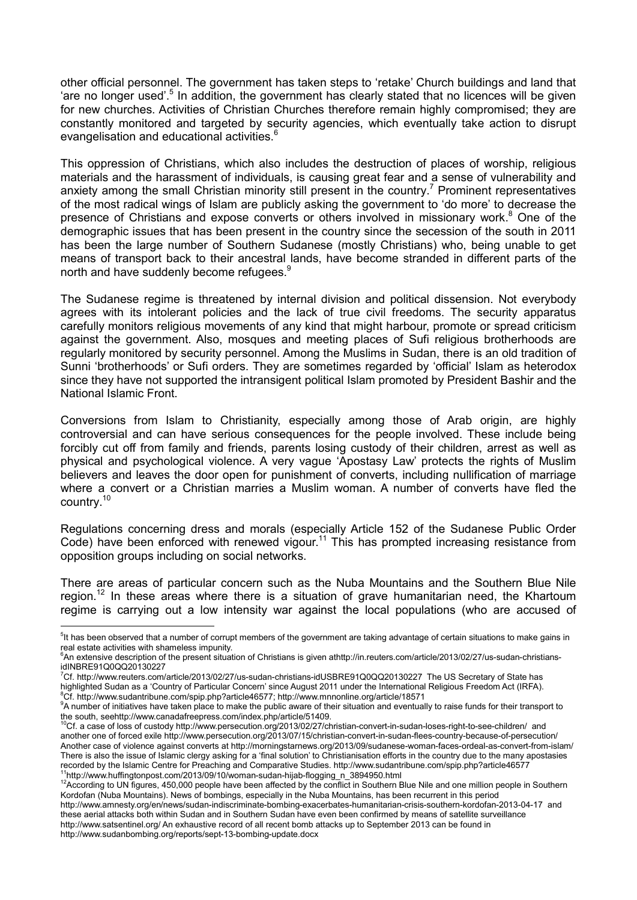other official personnel. The government has taken steps to 'retake' Church buildings and land that 'are no longer used'.<sup>5</sup> In addition, the government has clearly stated that no licences will be given for new churches. Activities of Christian Churches therefore remain highly compromised; they are constantly monitored and targeted by security agencies, which eventually take action to disrupt evangelisation and educational activities. 6

This oppression of Christians, which also includes the destruction of places of worship, religious materials and the harassment of individuals, is causing great fear and a sense of vulnerability and anxiety among the small Christian minority still present in the country. <sup>7</sup> Prominent representatives of the most radical wings of Islam are publicly asking the government to 'do more' to decrease the presence of Christians and expose converts or others involved in missionary work.<sup>8</sup> One of the demographic issues that has been present in the country since the secession of the south in 2011 has been the large number of Southern Sudanese (mostly Christians) who, being unable to get means of transport back to their ancestral lands, have become stranded in different parts of the north and have suddenly become refugees.<sup>9</sup>

The Sudanese regime is threatened by internal division and political dissension. Not everybody agrees with its intolerant policies and the lack of true civil freedoms. The security apparatus carefully monitors religious movements of any kind that might harbour, promote or spread criticism against the government. Also, mosques and meeting places of Sufi religious brotherhoods are regularly monitored by security personnel. Among the Muslims in Sudan, there is an old tradition of Sunni 'brotherhoods' or Sufi orders. They are sometimes regarded by 'official' Islam as heterodox since they have not supported the intransigent political Islam promoted by President Bashir and the National Islamic Front.

Conversions from Islam to Christianity, especially among those of Arab origin, are highly controversial and can have serious consequences for the people involved. These include being forcibly cut off from family and friends, parents losing custody of their children, arrest as well as physical and psychological violence. A very vague 'Apostasy Law' protects the rights of Muslim believers and leaves the door open for punishment of converts, including nullification of marriage where a convert or a Christian marries a Muslim woman. A number of converts have fled the country. 10

Regulations concerning dress and morals (especially Article 152 of the Sudanese Public Order Code) have been enforced with renewed vigour.<sup>11</sup> This has prompted increasing resistance from opposition groups including on social networks.

There are areas of particular concern such as the Nuba Mountains and the Southern Blue Nile region.<sup>12</sup> In these areas where there is a situation of grave humanitarian need, the Khartoum regime is carrying out a low intensity war against the local populations (who are accused of

 5 It has been observed that a number of corrupt members of the government are taking advantage of certain situations to make gains in real estate activities with shameless impunity.

 $6$ An extensive description of the present situation of Christians is given athttp://in.reuters.com/article/2013/02/27/us-sudan-christiansidINBRE91Q0QQ20130227

<sup>7</sup> Cf. http://www.reuters.com/article/2013/02/27/us-sudan-christians-idUSBRE91Q0QQ20130227 The US Secretary of State has highlighted Sudan as a 'Country of Particular Concern' since August 2011 under the International Religious Freedom Act (IRFA). Cf. http://www.sudantribune.com/spip.php?article46577; http://www.mnnonline.org/article/18571

<sup>9</sup> A number of initiatives have taken place to make the public aware of their situation and eventually to raise funds for their transport to the south, seehttp://www.canadafreepress.com/index.php/article/51409.<br><sup>10</sup>Cf. a case of loss of custody http://www.persecution.org/2013/02/27/christian-convert-in-sudan-loses-right-to-see-children/ and

another one of forced exile http://www.persecution.org/2013/07/15/christian-convert-in-sudan-flees-country-because-of-persecution/ Another case of violence against converts at http://morningstarnews.org/2013/09/sudanese-woman-faces-ordeal-as-convert-from-islam/ There is also the issue of Islamic clergy asking for a 'final solution' to Christianisation efforts in the country due to the many apostasies recorded by the Islamic Centre for Preaching and Comparative Studies. http://www.sudantribune.com/spip.php?article46577<br><sup>11</sup>http://www.huffingtonpost.com/2013/09/10/woman-sudan-hijab-flogging\_n\_3894950.html

<sup>&</sup>lt;sup>12</sup>According to UN figures, 450,000 people have been affected by the conflict in Southern Blue Nile and one million people in Southern Kordofan (Nuba Mountains). News of bombings, especially in the Nuba Mountains, has been recurrent in this period

http://www.amnesty.org/en/news/sudan-indiscriminate-bombing-exacerbates-humanitarian-crisis-southern-kordofan-2013-04-17 and these aerial attacks both within Sudan and in Southern Sudan have even been confirmed by means of satellite surveillance http://www.satsentinel.org/ An exhaustive record of all recent bomb attacks up to September 2013 can be found in http://www.sudanbombing.org/reports/sept-13-bombing-update.docx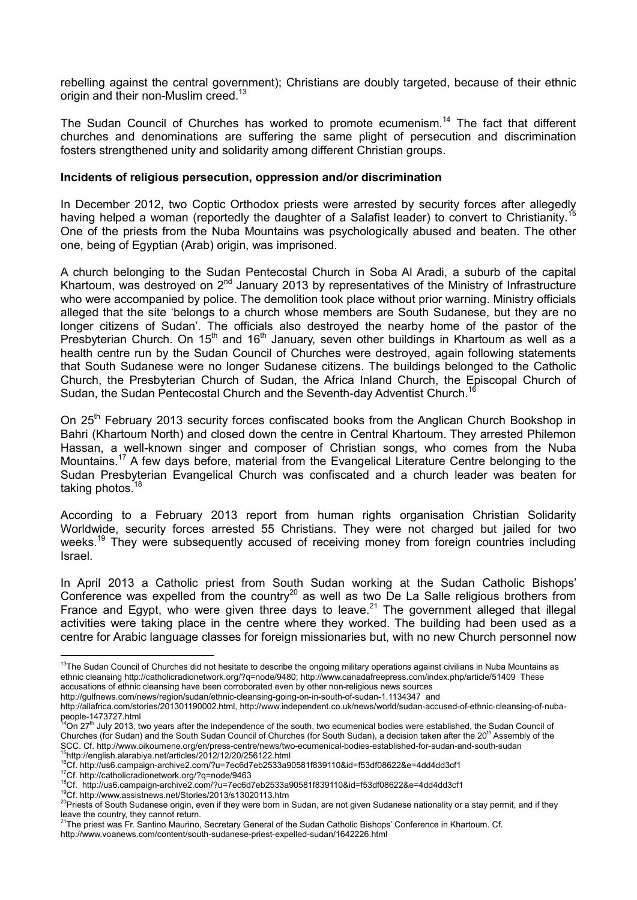rebelling against the central government); Christians are doubly targeted, because of their ethnic origin and their non-Muslim creed.<sup>13</sup>

The Sudan Council of Churches has worked to promote ecumenism.<sup>14</sup> The fact that different churches and denominations are suffering the same plight of persecution and discrimination fosters strengthened unity and solidarity among different Christian groups.

### Incidents of religious persecution, oppression and/or discrimination

In December 2012, two Coptic Orthodox priests were arrested by security forces after allegedly having helped a woman (reportedly the daughter of a Salafist leader) to convert to Christianity.<sup>15</sup> One of the priests from the Nuba Mountains was psychologically abused and beaten. The other one, being of Egyptian (Arab) origin, was imprisoned.

A church belonging to the Sudan Pentecostal Church in Soba Al Aradi, a suburb of the capital Khartoum, was destroved on 2<sup>nd</sup> January 2013 by representatives of the Ministry of Infrastructure who were accompanied by police. The demolition took place without prior warning. Ministry officials alleged that the site 'belongs to a church whose members are South Sudanese, but they are no longer citizens of Sudan'. The officials also destroyed the nearby home of the pastor of the Presbyterian Church. On  $15<sup>th</sup>$  and  $16<sup>th</sup>$  January, seven other buildings in Khartoum as well as a health centre run by the Sudan Council of Churches were destroyed, again following statements that South Sudanese were no longer Sudanese citizens. The buildings belonged to the Catholic Church, the Presbyterian Church of Sudan, the Africa Inland Church, the Episcopal Church of Sudan, the Sudan Pentecostal Church and the Seventh-day Adventist Church.<sup>1</sup>

On 25<sup>th</sup> February 2013 security forces confiscated books from the Anglican Church Bookshop in Bahri (Khartoum North) and closed down the centre in Central Khartoum. They arrested Philemon Hassan, a well-known singer and composer of Christian songs, who comes from the Nuba Mountains.<sup>17</sup> A few days before, material from the Evangelical Literature Centre belonging to the Sudan Presbyterian Evangelical Church was confiscated and a church leader was beaten for taking photos.<sup>18</sup>

According to a February 2013 report from human rights organisation Christian Solidarity Worldwide, security forces arrested 55 Christians. They were not charged but jailed for two weeks.<sup>19</sup> They were subsequently accused of receiving money from foreign countries including Israel.

In April 2013 a Catholic priest from South Sudan working at the Sudan Catholic Bishops' Conference was expelled from the country<sup>20</sup> as well as two De La Salle religious brothers from France and Egypt, who were given three days to leave.<sup>21</sup> The government alleged that illegal activities were taking place in the centre where they worked. The building had been used as a centre for Arabic language classes for foreign missionaries but, with no new Church personnel now

http://gulfnews.com/news/region/sudan/ethnic-cleansing-going-on-in-south-of-sudan-1.1134347 and

 $\overline{1}$  $13$ The Sudan Council of Churches did not hesitate to describe the ongoing military operations against civilians in Nuba Mountains as ethnic cleansing http://catholicradionetwork.org/?q=node/9480; http://www.canadafreepress.com/index.php/article/51409 These accusations of ethnic cleansing have been corroborated even by other non-religious news sources

http://allafrica.com/stories/201301190002.html, http://www.independent.co.uk/news/world/sudan-accused-of-ethnic-cleansing-of-nubapeople-1473727.html<br><sup>14</sup>On 27<sup>th</sup> July 2013, two years after the independence of the south, two ecumenical bodies were established, the Sudan Council of

Churches (for Sudan) and the South Sudan Council of Churches (for South Sudan), a decision taken after the 20<sup>th</sup> Assembly of the SCC. Cf. http://www.oikoumene.org/en/press-centre/news/two-ecumenical-bodies-established-for-sudan-and-south-sudan<sup>15</sup><br><sup>15</sup>http://english.alarabiya.net/articles/2012/12/20/256122.html<br><sup>16</sup>Cf. http://us6.campaign-archive2.c

leave the country, they cannot return.<br><sup>21</sup>The priest was Fr. Santino Maurino, Secretary General of the Sudan Catholic Bishops' Conference in Khartoum. Cf.

http://www.voanews.com/content/south-sudanese-priest-expelled-sudan/1642226.html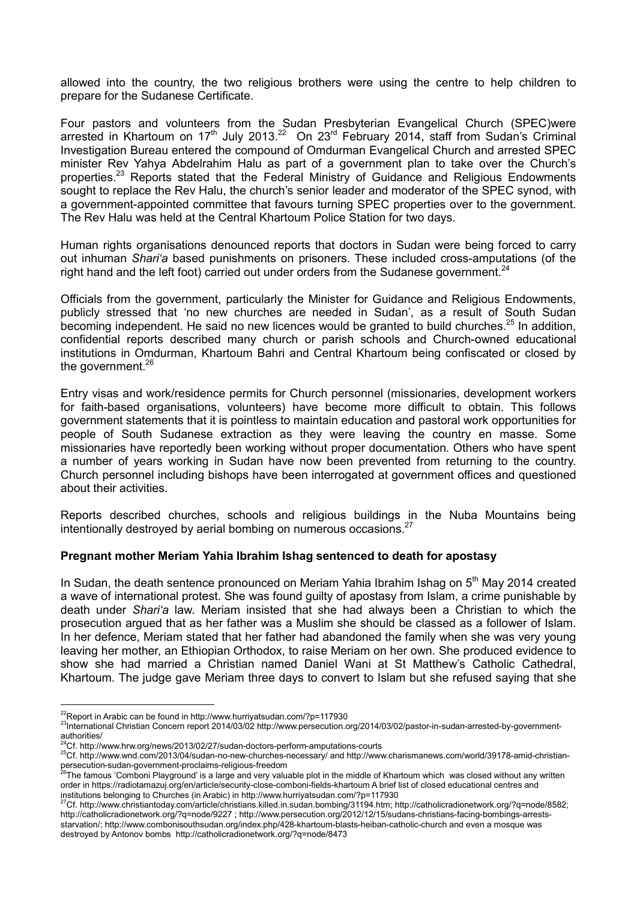allowed into the country, the two religious brothers were using the centre to help children to prepare for the Sudanese Certificate.

Four pastors and volunteers from the Sudan Presbyterian Evangelical Church (SPEC)were arrested in Khartoum on  $17<sup>th</sup>$  July 2013.<sup>22</sup> On 23<sup>rd</sup> February 2014, staff from Sudan's Criminal Investigation Bureau entered the compound of Omdurman Evangelical Church and arrested SPEC minister Rev Yahya Abdelrahim Halu as part of a government plan to take over the Church's properties.<sup>23</sup> Reports stated that the Federal Ministry of Guidance and Religious Endowments sought to replace the Rev Halu, the church's senior leader and moderator of the SPEC synod, with a government-appointed committee that favours turning SPEC properties over to the government. The Rev Halu was held at the Central Khartoum Police Station for two days.

Human rights organisations denounced reports that doctors in Sudan were being forced to carry out inhuman *Shari'a* based punishments on prisoners. These included cross-amputations (of the right hand and the left foot) carried out under orders from the Sudanese government.<sup>24</sup>

Officials from the government, particularly the Minister for Guidance and Religious Endowments, publicly stressed that 'no new churches are needed in Sudan', as a result of South Sudan becoming independent. He said no new licences would be granted to build churches.<sup>25</sup> In addition, confidential reports described many church or parish schools and Church-owned educational institutions in Omdurman, Khartoum Bahri and Central Khartoum being confiscated or closed by the government.<sup>26</sup>

Entry visas and work/residence permits for Church personnel (missionaries, development workers for faith-based organisations, volunteers) have become more difficult to obtain. This follows government statements that it is pointless to maintain education and pastoral work opportunities for people of South Sudanese extraction as they were leaving the country en masse. Some missionaries have reportedly been working without proper documentation. Others who have spent a number of years working in Sudan have now been prevented from returning to the country. Church personnel including bishops have been interrogated at government offices and questioned about their activities.

Reports described churches, schools and religious buildings in the Nuba Mountains being intentionally destroyed by aerial bombing on numerous occasions.<sup>27</sup>

## Pregnant mother Meriam Yahia Ibrahim Ishag sentenced to death for apostasy

In Sudan, the death sentence pronounced on Meriam Yahia Ibrahim Ishag on  $5<sup>th</sup>$  May 2014 created a wave of international protest. She was found guilty of apostasy from Islam, a crime punishable by death under *Shari'a* law. Meriam insisted that she had always been a Christian to which the prosecution argued that as her father was a Muslim she should be classed as a follower of Islam. In her defence, Meriam stated that her father had abandoned the family when she was very young leaving her mother, an Ethiopian Orthodox, to raise Meriam on her own. She produced evidence to show she had married a Christian named Daniel Wani at St Matthew's Catholic Cathedral, Khartoum. The judge gave Meriam three days to convert to Islam but she refused saying that she

<sup>&</sup>lt;sup>22</sup>Report in Arabic can be found in http://www.hurriyatsudan.com/?p=117930

<sup>&</sup>lt;sup>23</sup>International Christian Concern report 2014/03/02 http://www.persecution.org/2014/03/02/pastor-in-sudan-arrested-by-governmentauthorities/<br>authorities/<br> $^{24}$ Cf. http://www.persecution.org/2014/<br> $^{24}$ Cf. http://www.hrw.org/news/2013/02/27/sudan-doctors-perform-amputations-courts

<sup>25</sup>Cf. http://www.mrw.org/news/2013/04/sudan-no-new-churches-necessary/ and http://www.charismanews.com/world/39178-amid-christian-<br>persecution-sudan-government-proclaims-religious-freedom

<sup>&</sup>lt;sup>5</sup>The famous 'Comboni Playground' is a large and very valuable plot in the middle of Khartoum which was closed without any written order in https://radiotamazuj.org/en/article/security-close-comboni-fields-khartoum A brief list of closed educational centres and institutions belonging to Churches (in Arabic) in http://www.hurriyatsudan.com/?p=117930

<sup>27</sup>Cf. http://www.christiantoday.com/article/christians.killed.in.sudan.bombing/31194.htm; http://catholicradionetwork.org/?q=node/8582; http://catholicradionetwork.org/?q=node/9227 ; http://www.persecution.org/2012/12/15/sudans-christians-facing-bombings-arrestsstarvation/; http://www.combonisouthsudan.org/index.php/428-khartoum-blasts-heiban-catholic-church and even a mosque was destroyed by Antonov bombs http://catholicradionetwork.org/?q=node/8473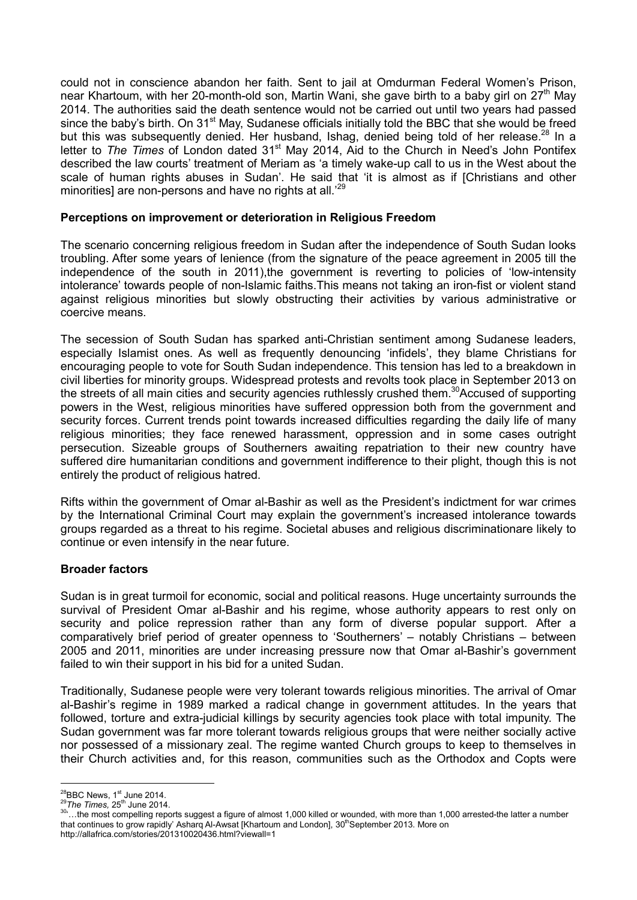could not in conscience abandon her faith. Sent to jail at Omdurman Federal Women's Prison, near Khartoum, with her 20-month-old son, Martin Wani, she gave birth to a baby girl on 27<sup>th</sup> May 2014. The authorities said the death sentence would not be carried out until two years had passed since the baby's birth. On 31<sup>st</sup> May, Sudanese officials initially told the BBC that she would be freed but this was subsequently denied. Her husband, Ishag, denied being told of her release.<sup>28</sup> In a letter to *The Times* of London dated 31<sup>st</sup> May 2014, Aid to the Church in Need's John Pontifex described the law courts' treatment of Meriam as 'a timely wake-up call to us in the West about the scale of human rights abuses in Sudan'. He said that 'it is almost as if [Christians and other minorities] are non-persons and have no rights at all.'<sup>29</sup>

## Perceptions on improvement or deterioration in Religious Freedom

The scenario concerning religious freedom in Sudan after the independence of South Sudan looks troubling. After some years of lenience (from the signature of the peace agreement in 2005 till the independence of the south in 2011), the government is reverting to policies of 'low-intensity intolerance' towards people of non-Islamic faiths.This means not taking an iron-fist or violent stand against religious minorities but slowly obstructing their activities by various administrative or coercive means.

The secession of South Sudan has sparked anti-Christian sentiment among Sudanese leaders, especially Islamist ones. As well as frequently denouncing 'infidels', they blame Christians for encouraging people to vote for South Sudan independence. This tension has led to a breakdown in civil liberties for minority groups. Widespread protests and revolts took place in September 2013 on the streets of all main cities and security agencies ruthlessly crushed them.<sup>30</sup>Accused of supporting powers in the West, religious minorities have suffered oppression both from the government and security forces. Current trends point towards increased difficulties regarding the daily life of many religious minorities; they face renewed harassment, oppression and in some cases outright persecution. Sizeable groups of Southerners awaiting repatriation to their new country have suffered dire humanitarian conditions and government indifference to their plight, though this is not entirely the product of religious hatred.

Rifts within the government of Omar al-Bashir as well as the President's indictment for war crimes by the International Criminal Court may explain the government's increased intolerance towards groups regarded as a threat to his regime. Societal abuses and religious discriminationare likely to continue or even intensify in the near future.

## Broader factors

Sudan is in great turmoil for economic, social and political reasons. Huge uncertainty surrounds the survival of President Omar al-Bashir and his regime, whose authority appears to rest only on security and police repression rather than any form of diverse popular support. After a comparatively brief period of greater openness to 'Southerners' – notably Christians – between 2005 and 2011, minorities are under increasing pressure now that Omar al-Bashir's government failed to win their support in his bid for a united Sudan.

Traditionally, Sudanese people were very tolerant towards religious minorities. The arrival of Omar al-Bashir's regime in 1989 marked a radical change in government attitudes. In the years that followed, torture and extra-judicial killings by security agencies took place with total impunity. The Sudan government was far more tolerant towards religious groups that were neither socially active nor possessed of a missionary zeal. The regime wanted Church groups to keep to themselves in their Church activities and, for this reason, communities such as the Orthodox and Copts were

<sup>-</sup>

<sup>&</sup>lt;sup>28</sup>BBC News, 1<sup>st</sup> June 2014.<br><sup>29</sup>*The Times,* 25<sup>th</sup> June 2014.<br><sup>30</sup>'…the most compelling reports suggest a figure of almost 1,000 killed or wounded, with more than 1,000 arrested-the latter a number that continues to grow rapidly' Asharq Al-Awsat [Khartoum and London], 30<sup>th</sup>September 2013. More on http://allafrica.com/stories/201310020436.html?viewall=1